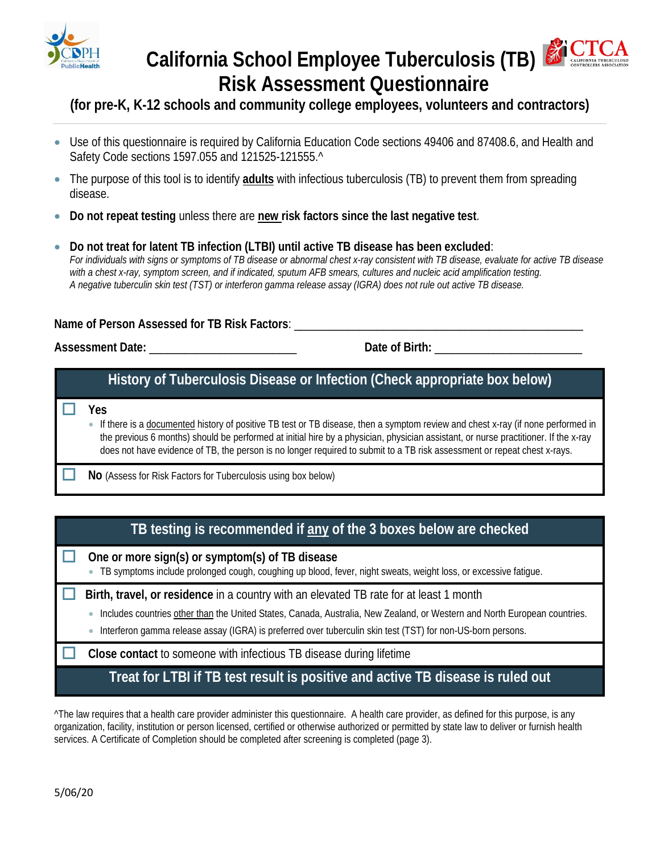

# California School Employee Tuberculosis (TB) **CONTROLLERS ASSOCIATE Risk Assessment Questionnaire**

**·cTCA** 

### **(for pre-K, K-12 schools and community college employees, volunteers and contractors)**

- Use of this questionnaire is required by California Education Code sections 49406 and 87408.6, and Health and Safety Code sections 1597.055 and 121525-121555.^
- The purpose of this tool is to identify **adults** with infectious tuberculosis (TB) to prevent them from spreading disease.
- **Do not repeat testing** unless there are **new risk factors since the last negative test**.
- **Do not treat for latent TB infection (LTBI) until active TB disease has been excluded**: *For individuals with signs or symptoms of TB disease or abnormal chest x-ray consistent with TB disease, evaluate for active TB disease with a chest x-ray, symptom screen, and if indicated, sputum AFB smears, cultures and nucleic acid amplification testing. A negative tuberculin skin test (TST) or interferon gamma release assay (IGRA) does not rule out active TB disease.*

#### **Name of Person Assessed for TB Risk Factors**: \_\_\_\_\_\_\_\_\_\_\_\_\_\_\_\_\_\_\_\_\_\_\_\_\_\_\_\_\_\_\_\_\_\_\_\_\_\_\_\_\_\_\_\_\_\_\_\_\_

**Assessment Date:** \_\_\_\_\_\_\_\_\_\_\_\_\_\_\_\_\_\_\_\_\_\_\_\_\_ **Date of Birth:** \_\_\_\_\_\_\_\_\_\_\_\_\_\_\_\_\_\_\_\_\_\_\_\_\_

### **History of Tuberculosis Disease or Infection (Check appropriate box below)**

**Yes**

• If there is a documented history of positive TB test or TB disease, then a symptom review and chest x-ray (if none performed in the previous 6 months) should be performed at initial hire by a physician, physician assistant, or nurse practitioner. If the x-ray does not have evidence of TB, the person is no longer required to submit to a TB risk assessment or repeat chest x-rays.

**No** (Assess for Risk Factors for Tuberculosis using box below)

### **TB testing is recommended if any of the 3 boxes below are checked**

**One or more sign(s) or symptom(s) of TB disease**

• TB symptoms include prolonged cough, coughing up blood, fever, night sweats, weight loss, or excessive fatigue.

**Birth, travel, or residence** in a country with an elevated TB rate for at least 1 month

• Includes countries other than the United States, Canada, Australia, New Zealand, or Western and North European countries.

• Interferon gamma release assay (IGRA) is preferred over tuberculin skin test (TST) for non-US-born persons.

**Close contact** to someone with infectious TB disease during lifetime

**Treat for LTBI if TB test result is positive and active TB disease is ruled out**

^The law requires that a health care provider administer this questionnaire. A health care provider, as defined for this purpose, is any organization, facility, institution or person licensed, certified or otherwise authorized or permitted by state law to deliver or furnish health services. A Certificate of Completion should be completed after screening is completed (page 3).